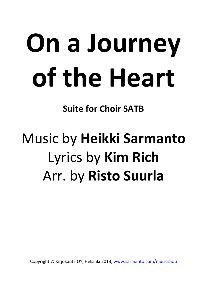# On a Journey of the Heart

Suite for Choir SATB

## Music by Heikki Sarmanto Lyrics by Kim Rich Arr. by Risto Suurla

Copyright © Kirjokanta OY, Helsinki 2013; www.sarmanto.com/muiscshop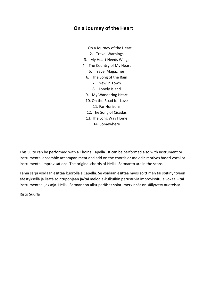#### On a Journey of the Heart

- 1. On a Journey of the Heart 2. Travel Warnings
	- 3. My Heart Needs Wings
- 4. The Country of My Heart
	- 5. Travel Magazines
	- 6. The Song of the Rain
		- 7. New in Town
		- 8. Lonely Island
	- 9. My Wandering Heart
	- 10. On the Road for Love 11. Far Horizons
	- 12. The Song of Cicadas
	- 13. The Long Way Home
		- 14. Somewhere

This Suite can be performed with a Choir á Capella . It can be performed also with instrument or instrumental ensemble accompaniment and add on the chords or melodic motives based vocal or instrumental improvisations. The original chords of Heikki Sarmanto are in the score.

Tämä sarja voidaan esittää kuorolla á Capella. Se voidaan esittää myös soittimen tai soitinyhtyeen säestyksellä ja lisätä sointupohjaan ja/tai melodia-kulkuihin perustuvia improvisoituja vokaali- tai instrumentaalijaksoja. Heikki Sarmannon alku-peräiset sointumerkinnät on säilytetty nuoteissa.

Risto Suurla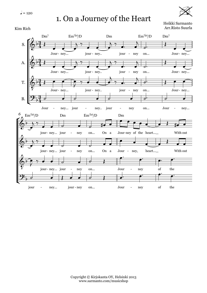1. On a Journey of the Heart



Heikki Sarmanto Arr.Risto Suurla

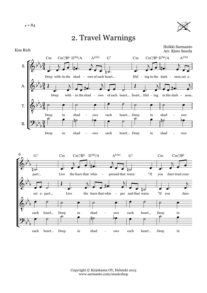

#### 2. Travel Warnings

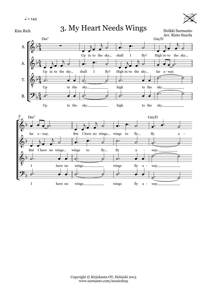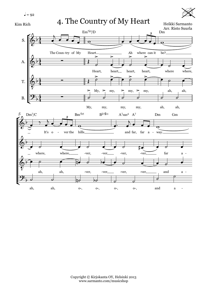$$
J = 92
$$





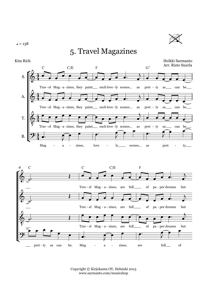$l = 138$ 



#### 5. Travel Magazines



Copyright © Kirjokanta OY, Helsinki 2013 www.sarmanto.com/musicshop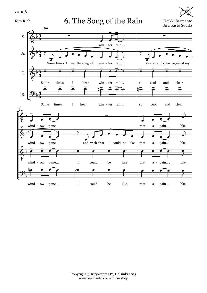$l = 108$ 

Kim Rich 6. The Song of the Rain Heikki Sarmanto



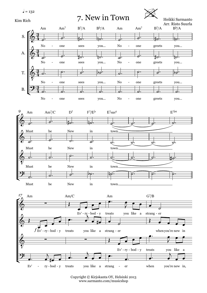

Copyright © Kirjokanta OY, Helsinki 2013 www.sarmanto.com/musicshop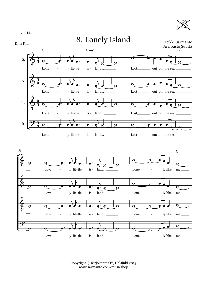$$
J = 144
$$





Copyright © Kirjokanta OY, Helsinki 2013 www.sarmanto.com/musicshop

Love - ly lit-tle is- land... Lone - ly like me.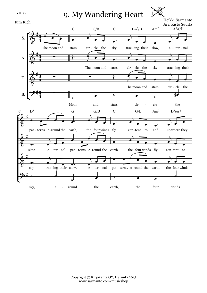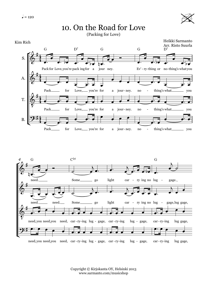

### 10. On the Road for Love

(Packing for Love)





Copyright © Kirjokanta OY, Helsinki 2013 www.sarmanto.com/musicshop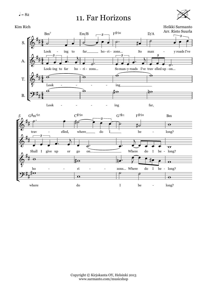

#### 11. Far Horizons



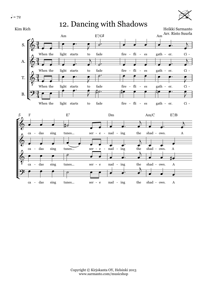

#### 12. Dancing with Shadows

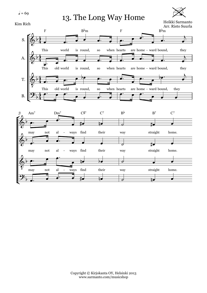

13. The Long Way Home



Heikki Sarmanto